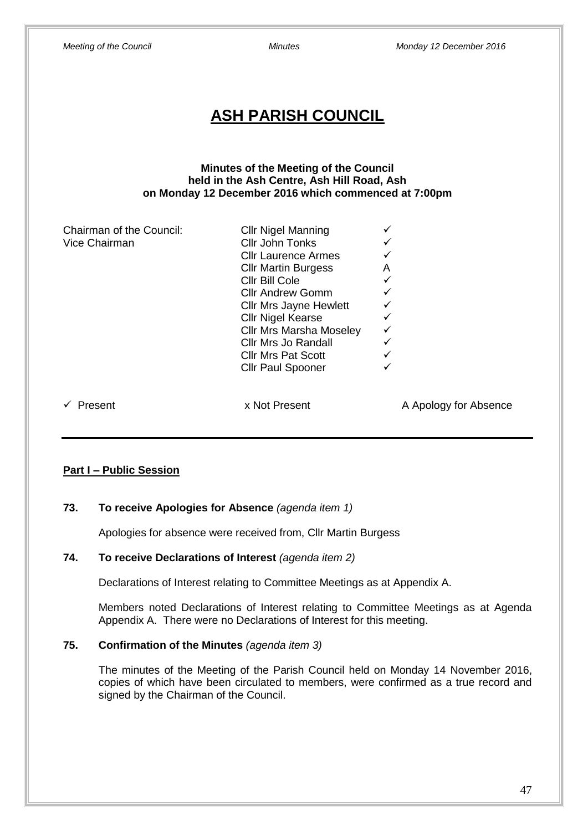| Meeting of the Council                                                                                                                      | <b>Minutes</b>                                                                                                                                                                                                                                                                                                                              | Monday 12 December 2016 |  |  |  |  |  |  |
|---------------------------------------------------------------------------------------------------------------------------------------------|---------------------------------------------------------------------------------------------------------------------------------------------------------------------------------------------------------------------------------------------------------------------------------------------------------------------------------------------|-------------------------|--|--|--|--|--|--|
| <b>ASH PARISH COUNCIL</b>                                                                                                                   |                                                                                                                                                                                                                                                                                                                                             |                         |  |  |  |  |  |  |
| Minutes of the Meeting of the Council<br>held in the Ash Centre, Ash Hill Road, Ash<br>on Monday 12 December 2016 which commenced at 7:00pm |                                                                                                                                                                                                                                                                                                                                             |                         |  |  |  |  |  |  |
| Chairman of the Council:<br>Vice Chairman                                                                                                   | <b>Cllr Nigel Manning</b><br>Cllr John Tonks<br><b>Cllr Laurence Armes</b><br><b>Cllr Martin Burgess</b><br>Cllr Bill Cole<br><b>Cllr Andrew Gomm</b><br><b>Cllr Mrs Jayne Hewlett</b><br><b>Cllr Nigel Kearse</b><br><b>Cllr Mrs Marsha Moseley</b><br><b>Cllr Mrs Jo Randall</b><br><b>Cllr Mrs Pat Scott</b><br><b>Cllr Paul Spooner</b> | Α<br>✓<br>✓<br>✓        |  |  |  |  |  |  |
| Present<br>✓                                                                                                                                | x Not Present                                                                                                                                                                                                                                                                                                                               | A Apology for Absence   |  |  |  |  |  |  |

# **Part I – Public Session**

### **73. To receive Apologies for Absence** *(agenda item 1)*

Apologies for absence were received from, Cllr Martin Burgess

## **74. To receive Declarations of Interest** *(agenda item 2)*

Declarations of Interest relating to Committee Meetings as at Appendix A.

Members noted Declarations of Interest relating to Committee Meetings as at Agenda Appendix A. There were no Declarations of Interest for this meeting.

### **75. Confirmation of the Minutes** *(agenda item 3)*

The minutes of the Meeting of the Parish Council held on Monday 14 November 2016, copies of which have been circulated to members, were confirmed as a true record and signed by the Chairman of the Council.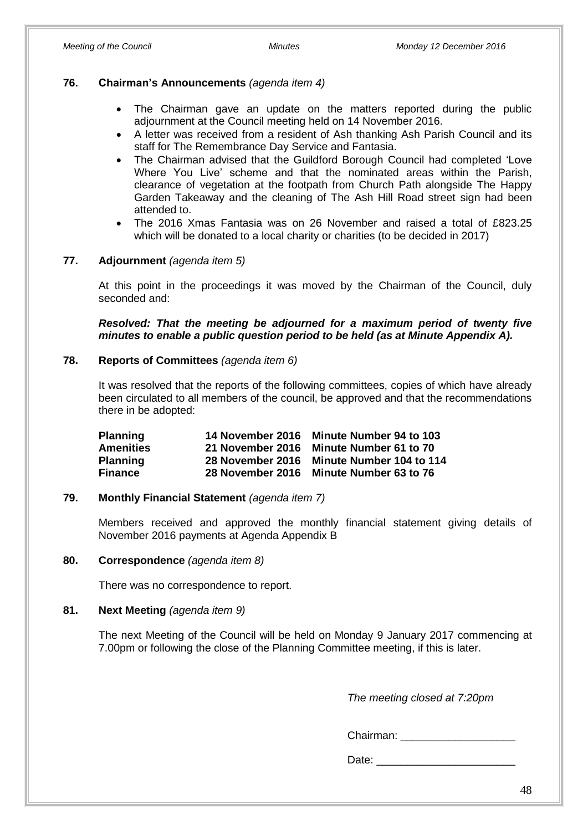### **76. Chairman's Announcements** *(agenda item 4)*

- The Chairman gave an update on the matters reported during the public adjournment at the Council meeting held on 14 November 2016.
- A letter was received from a resident of Ash thanking Ash Parish Council and its staff for The Remembrance Day Service and Fantasia.
- The Chairman advised that the Guildford Borough Council had completed 'Love Where You Live' scheme and that the nominated areas within the Parish, clearance of vegetation at the footpath from Church Path alongside The Happy Garden Takeaway and the cleaning of The Ash Hill Road street sign had been attended to.
- The 2016 Xmas Fantasia was on 26 November and raised a total of £823.25 which will be donated to a local charity or charities (to be decided in 2017)

### **77. Adjournment** *(agenda item 5)*

At this point in the proceedings it was moved by the Chairman of the Council, duly seconded and:

*Resolved: That the meeting be adjourned for a maximum period of twenty five minutes to enable a public question period to be held (as at Minute Appendix A).*

### **78. Reports of Committees** *(agenda item 6)*

It was resolved that the reports of the following committees, copies of which have already been circulated to all members of the council, be approved and that the recommendations there in be adopted:

| <b>Planning</b>  | 14 November 2016 | <b>Minute Number 94 to 103</b> |
|------------------|------------------|--------------------------------|
| <b>Amenities</b> | 21 November 2016 | Minute Number 61 to 70         |
| <b>Planning</b>  | 28 November 2016 | Minute Number 104 to 114       |
| <b>Finance</b>   | 28 November 2016 | <b>Minute Number 63 to 76</b>  |

### **79. Monthly Financial Statement** *(agenda item 7)*

Members received and approved the monthly financial statement giving details of November 2016 payments at Agenda Appendix B

### **80. Correspondence** *(agenda item 8)*

There was no correspondence to report.

### **81. Next Meeting** *(agenda item 9)*

The next Meeting of the Council will be held on Monday 9 January 2017 commencing at 7.00pm or following the close of the Planning Committee meeting, if this is later.

*The meeting closed at 7:20pm*

Chairman: \_\_\_\_\_\_\_\_\_\_\_\_\_\_\_\_\_\_\_

Date:  $\Box$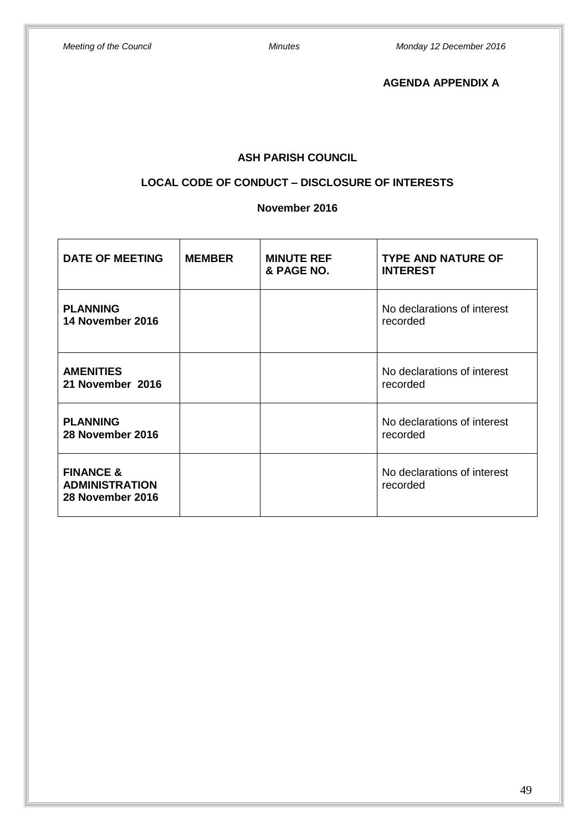**AGENDA APPENDIX A**

# **ASH PARISH COUNCIL**

# **LOCAL CODE OF CONDUCT – DISCLOSURE OF INTERESTS**

### **November 2016**

| <b>DATE OF MEETING</b>                                            | <b>MEMBER</b> | <b>MINUTE REF</b><br>& PAGE NO. | <b>TYPE AND NATURE OF</b><br><b>INTEREST</b> |  |
|-------------------------------------------------------------------|---------------|---------------------------------|----------------------------------------------|--|
| <b>PLANNING</b><br>14 November 2016                               |               |                                 | No declarations of interest<br>recorded      |  |
| <b>AMENITIES</b><br>21 November 2016                              |               |                                 | No declarations of interest<br>recorded      |  |
| <b>PLANNING</b><br>28 November 2016                               |               |                                 | No declarations of interest<br>recorded      |  |
| <b>FINANCE &amp;</b><br><b>ADMINISTRATION</b><br>28 November 2016 |               |                                 | No declarations of interest<br>recorded      |  |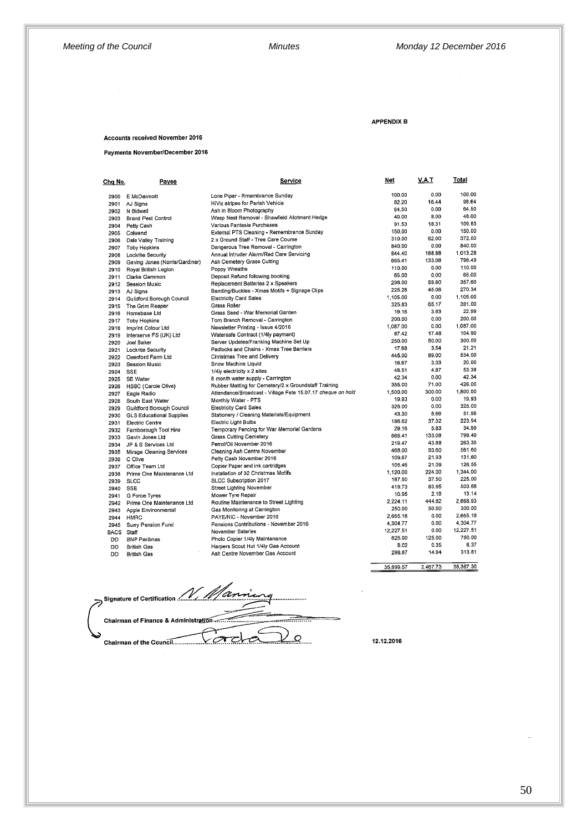#### APPENDIX B

### Accounts received November 2016

Payments November/December 2016

| Cha No.           | Payee                                       | Service                                                     | Net                | V.A.T          | Total               |
|-------------------|---------------------------------------------|-------------------------------------------------------------|--------------------|----------------|---------------------|
| 2900              | E McDermott                                 | Lone Piper - Rmembrance Sunday                              | 100.00             | 0.00           | 100.00              |
| 2901              | AJ Sians                                    | HiViz stripes for Parish Vehicle                            | 82.20              | 16.44          | 98.64               |
| 2902              | N Bidwell                                   | Ash in Bloom Photography                                    | 64.50              | 0.00           | 64.50               |
| 2903              | <b>Brand Pest Control</b>                   | Wasp Nest Removal - Shawfield Allotment Hedge               | 40.00              | 8.00           | 48.00               |
| 2904              | Petty Cash                                  | Various Fantasia Purchases                                  | 91.53              | 18.31          | 109.83              |
| 2905              | Colwend                                     | External PTS Cleaning - Remembrance Sunday                  | 150,00             | 0.00           | 150.00              |
| 2906              |                                             | 2 x Ground Staff - Tree Care Course                         | 310.00             | 62.00          | 372.00              |
|                   | Dale Valley Training<br><b>Toby Hopkins</b> | Dangerous Tree Removal - Carrington                         | 840.00             | 0.00           | 840.00              |
| 2907<br>2908      |                                             | Annual Intruder Alarm/Red Care Servicing                    | 844.40             | 168.88         | 1.013.28            |
|                   | Lockrite Security                           | Ash Cemetery Grass Cutting                                  | 665,41             | 133.08         | 798.49              |
| 2909              | Gaving Jones (Norris/Gardiner)              | Poppy Wreaths                                               | 110.00             | 0.00           | 110.00              |
| 2910              | Royal British Legion                        | Deposit Refund following booking                            | 65.00              | 0.00           | 65.00               |
| 2911              | Clarke Gammon                               | Replacement Batteries 2 x Speakers                          | 298.00             | 59.60          | 357.60              |
| 2912              | Session Music                               | Banding/Buckles - Xmas Motifs + Signage Clips               | 225.28             | 45.06          | 270.34              |
| 2913              | AJ Signs                                    | <b>Electricity Card Sales</b>                               | 1,105.00           | 0.00           | 1.105.00            |
| 2914              | Guildford Borough Council                   | Grass Roller                                                | 325.83             | 65.17          | 391.00              |
| 2915              | The Grim Reaper                             | Grass Seed - War Memorial Garden                            | 19.16              | 3.83           | 22.99               |
| 2916              | Homebase Ltd                                | Torn Branch Removal - Carrington                            | 200.00             | 0.00           | 200.00              |
| 2917              | <b>Toby Hopkins</b>                         |                                                             | 1,087.00           | 0.00           | 1,087.00            |
| 2918              | Imprint Colour Ltd                          | Newsletter Printing - Issue 4/2016                          | 87.42              | 17.48          | 104.90              |
| 2919              | Interserve FS (UK) Ltd                      | Watersafe Contract (1/4ly payment)                          | 250.00             | 50.00          | 300.00              |
| 2920              | Joel Baker                                  | Server Updates/Franking Machine Set Up                      | 17.68              | 3.54           | 21.21               |
| 2921              | Lockrite Security                           | Padlocks and Chains - Xmas Tree Barriers                    | 445.00             | 89.00          | 534.00              |
| 2922              | Oxenford Farm Ltd                           | Christmas Tree and Delivery                                 | 16,67              | 3.33           | 20.00               |
| 2923              | Session Music                               | Snow Machine Liquid                                         | 48.51              | 4.87           | 53.38               |
| 2924              | <b>SSE</b>                                  | 1/4ly electricity x 2 sites                                 | 42.34              | 0.00           | 42.34               |
| 2925              | <b>SE Water</b>                             | 8 month water supply - Carrington                           | 355.00             | 71.00          | 426.00              |
| 2926              | HSBC (Carole Olive)                         | Rubber Matting for Cemetery/2 x Groundstaff Training        |                    | 300.00         | 1,800.00            |
| 2927              | Eagle Radio                                 | Attendance/Broadcast - Village Fete 15.07.17 cheque on hold | 1,500.00<br>19.93  | 0.00           | 19,93               |
| 2928              | South East Water                            | Monthly Water - PTS                                         | 325.00             | 0.00           | 325.00              |
| 2929              | Guildford Borough Council                   | <b>Electricity Card Sales</b>                               | 43.30              | 8.66           | 51.96               |
| 2930              | <b>GLS Educational Supplies</b>             | Stationery / Cleaning Materials/Equipment                   | 186.62             | 37,32          | 223.94              |
| 2931              | <b>Electric Centre</b>                      | Electric Light Bulbs                                        | 29.16              | 5.83           | 34.99               |
| 2932              | Famborough Tool Hire                        | Temporary Fencing for War Memorial Gardens                  | 665.41             | 133.08         | 798.49              |
| 2933              | Gavin Jones Ltd                             | <b>Grass Cutting Cemetery</b>                               | 219.47             | 43.88          | 263.35              |
| 2934              | JP & S Services Ltd                         | Petrol/Oil November 2016                                    | 468.00             | 93.60          | 561.60              |
| 2935              | Mirage Cleaning Services                    | Cleaning Ash Centre November                                | 109.67             | 21.93          | 131.60              |
| 2936              | C Olive                                     | Petty Cash November 2016                                    |                    | 21.09          | 126.55              |
| 2937              | Office Team Ltd                             | Copier Paper and ink cartridges                             | 105.46             | 224.00         | 1,344.00            |
| 2938              | Prime One Maintenance Ltd                   | Installation of 32 Christmas Motifs                         | 1,120.00<br>187.50 | 37.50          | 225.00              |
| 2939              | <b>SLCC</b>                                 | SLCC Subscription 2017                                      |                    | 83.95          | 503.68              |
| 2940              | <b>SSE</b>                                  | Street Lighting November                                    | 419.73             | 2.19           | 13.14               |
| 2941              | G Force Tyres                               | Mower Tyre Repair                                           | 10.95              |                | 2,668.93            |
| 2942              | Prime One Maintenance Ltd                   | Routine Maintenance to Street Lighting                      | 2.224.11           | 444.82         | 300.00              |
| 2943              | Apple Environmental                         | Gas Monitoring at Carrington                                | 250.00             | 50.00          | 2,665.18            |
| 2944              | <b>HMRC</b>                                 | PAYE/NIC - November 2016                                    | 2,665.18           | 0.00<br>0.00   | 4,304.77            |
| 2945              | Surry Pension Fund                          | Pensions Contributions - November 2016                      | 4,304.77           |                |                     |
| <b>BACS</b> Staff |                                             | November Salaries                                           | 12,227.51          | 0.00           | 12,227.51<br>750.00 |
| <b>DD</b>         | <b>BNP Paribnas</b>                         | Photo Copier 1/4ly Maintenance                              | 625.00             | 125.00<br>0.35 | 8.37                |
| <b>DD</b>         | <b>British Gas</b>                          | Harpers Scout Hut 1/4ly Gas Account                         | 8.02               |                |                     |
| <b>DD</b>         | <b>British Gas</b>                          | Ash Centre November Gas Account                             | 298.87             | 14.94          | 313.81              |
|                   |                                             |                                                             | 35,899.57          | 2.467.73       | 38,367.30           |

Signature of Certification *M<sub>an</sub>* Chairman of Finance & Administration ...<del>..........</del> . . . . . . . . <u>.</u> . <u> سام لا</u> <u>vada</u> Chairman of the Council............

12.12.2016

50